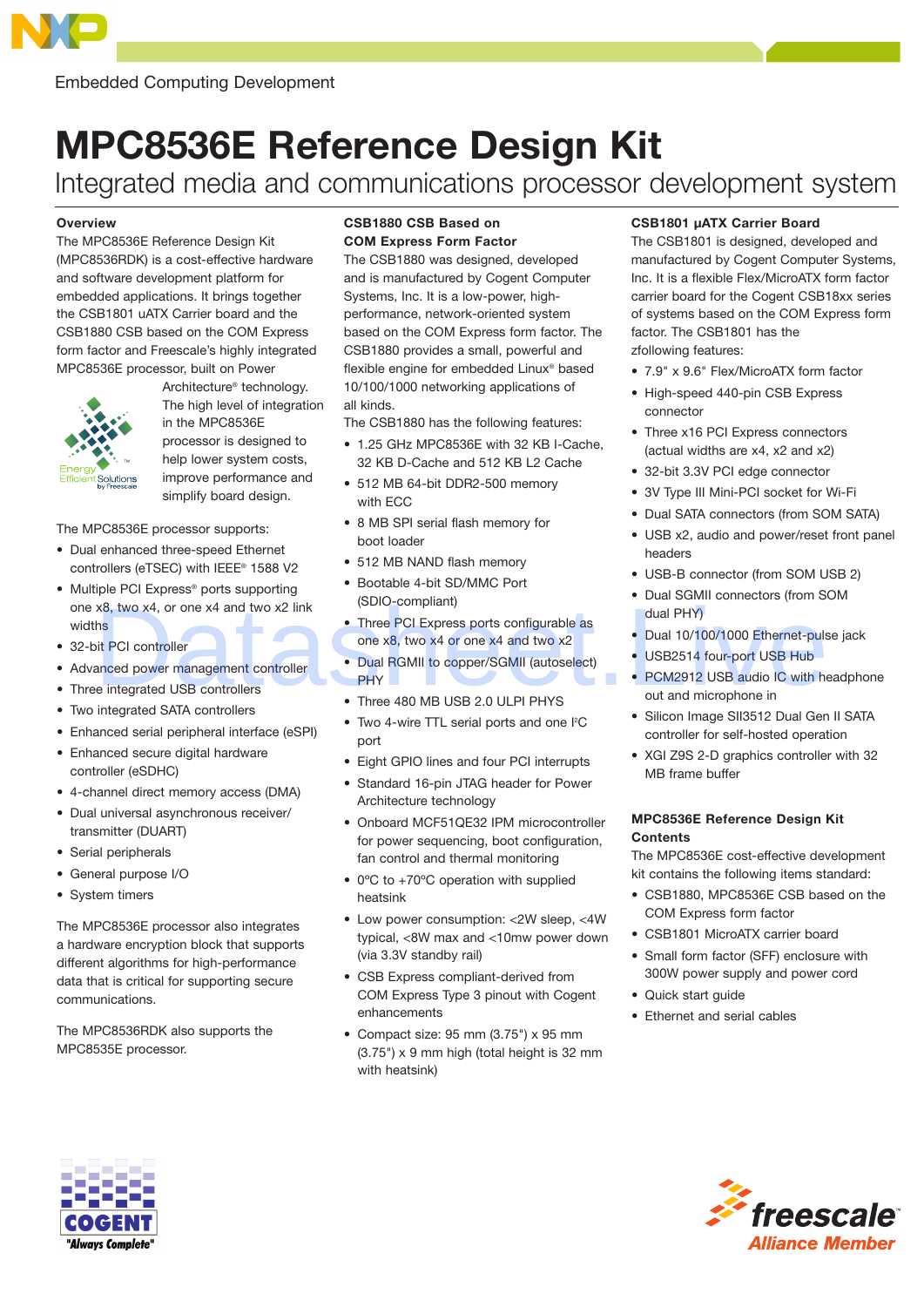

# MPC8536E Reference Design Kit

Integrated media and communications processor development system

#### **Overview**

The MPC8536E Reference Design Kit (MPC8536RDK) is a cost-effective hardware and software development platform for embedded applications. It brings together the CSB1801 uATX Carrier board and the CSB1880 CSB based on the COM Express form factor and Freescale's highly integrated MPC8536E processor, built on Power



Architecture® technology. The high level of integration in the MPC8536E processor is designed to help lower system costs, improve performance and simplify board design.

The MPC8536E processor supports:

- • Dual enhanced three-speed Ethernet controllers (eTSEC) with IEEE® 1588 V2
- Multiple PCI Express<sup>®</sup> ports supporting one x8, two x4, or one x4 and two x2 link widths
- 32-bit PCI controller
- • Advanced power management controller
- Three integrated USB controllers
- Two integrated SATA controllers
- • Enhanced serial peripheral interface (eSPI)
- • Enhanced secure digital hardware controller (eSDHC)
- • 4-channel direct memory access (DMA)
- • Dual universal asynchronous receiver/ transmitter (DUART)
- • Serial peripherals
- • General purpose I/O
- System timers

The MPC8536E processor also integrates a hardware encryption block that supports different algorithms for high-performance data that is critical for supporting secure communications.

The MPC8536RDK also supports the MPC8535E processor.

## CSB1880 CSB Based on COM Express Form Factor

The CSB1880 was designed, developed and is manufactured by Cogent Computer Systems, Inc. It is a low-power, highperformance, network-oriented system based on the COM Express form factor. The CSB1880 provides a small, powerful and flexible engine for embedded Linux® based 10/100/1000 networking applications of all kinds.

The CSB1880 has the following features:

- 1.25 GHz MPC8536E with 32 KB I-Cache, 32 KB D-Cache and 512 KB L2 Cache
- 512 MB 64-bit DDR2-500 memory with ECC
- 8 MB SPI serial flash memory for boot loader
- 512 MB NAND flash memory
- • Bootable 4-bit SD/MMC Port (SDIO-compliant)
- Three PCI Express ports configurable as one x8, two x4 or one x4 and two x2
- Dual RGMII to copper/SGMII (autoselect) **PHY** X8, two x4, or one x4 and two x2 link<br>
the PCI Express ports configurable as<br>
one x8, two x4 or one x4 and two x2<br>
Dual 10/100/1000 Ethernet-puls<br>
Dual 10/100/1000 Ethernet-puls<br>
Dual 10/100/1000 Ethernet-puls<br>
Dual 10/100
	- Three 480 MB USB 2.0 ULPI PHYS
	- Two 4-wire TTL serial ports and one I<sup>2</sup>C port
	- • Eight GPIO lines and four PCI interrupts
	- Standard 16-pin JTAG header for Power Architecture technology
	- • Onboard MCF51QE32 IPM microcontroller for power sequencing, boot configuration, fan control and thermal monitoring
	- 0°C to +70°C operation with supplied heatsink
	- Low power consumption: <2W sleep, <4W typical, <8W max and <10mw power down (via 3.3V standby rail)
	- CSB Express compliant-derived from COM Express Type 3 pinout with Cogent enhancements
	- • Compact size: 95 mm (3.75") x 95 mm (3.75") x 9 mm high (total height is 32 mm with heatsink)

## CSB1801 µATX Carrier Board

The CSB1801 is designed, developed and manufactured by Cogent Computer Systems, Inc. It is a flexible Flex/MicroATX form factor carrier board for the Cogent CSB18xx series of systems based on the COM Express form factor. The CSB1801 has the zfollowing features:

- 7.9" x 9.6" Flex/MicroATX form factor
- High-speed 440-pin CSB Express connector
- Three x16 PCI Express connectors (actual widths are x4, x2 and x2)
- 32-bit 3.3V PCI edge connector
- 3V Type III Mini-PCI socket for Wi-Fi
- Dual SATA connectors (from SOM SATA)
- • USB x2, audio and power/reset front panel headers
- USB-B connector (from SOM USB 2)
- Dual SGMII connectors (from SOM dual PHY)
- Dual 10/100/1000 Ethernet-pulse jack
- USB2514 four-port USB Hub
- PCM2912 USB audio IC with headphone out and microphone in
- Silicon Image SII3512 Dual Gen II SATA controller for self-hosted operation
- XGI Z9S 2-D graphics controller with 32 MB frame buffer

#### MPC8536E Reference Design Kit **Contents**

The MPC8536E cost-effective development kit contains the following items standard:

- • CSB1880, MPC8536E CSB based on the COM Express form factor
- • CSB1801 MicroATX carrier board
- Small form factor (SFF) enclosure with 300W power supply and power cord
- • Quick start guide
- • Ethernet and serial cables